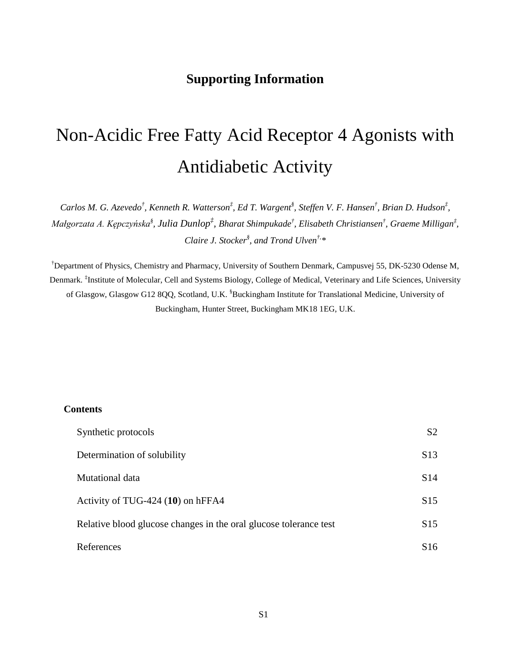# **Supporting Information**

# Non-Acidic Free Fatty Acid Receptor 4 Agonists with Antidiabetic Activity

*Carlos M. G. Azevedo† , Kenneth R. Watterson‡ , Ed T. Wargent§ , Steffen V. F. Hansen† , Brian D. Hudson‡ , Małgorzata A. Kępczyńska§ , Julia Dunlop‡ , Bharat Shimpukade† , Elisabeth Christiansen† , Graeme Milligan‡ , Claire J. Stocker§ , and Trond Ulven†,\**

† Department of Physics, Chemistry and Pharmacy, University of Southern Denmark, Campusvej 55, DK-5230 Odense M, Denmark. ‡ Institute of Molecular, Cell and Systems Biology, College of Medical, Veterinary and Life Sciences, University of Glasgow, Glasgow G12 8QQ, Scotland, U.K. <sup>§</sup>Buckingham Institute for Translational Medicine, University of Buckingham, Hunter Street, Buckingham MK18 1EG, U.K.

#### **Contents**

| Synthetic protocols                                               | S <sub>2</sub>  |
|-------------------------------------------------------------------|-----------------|
| Determination of solubility                                       | S <sub>13</sub> |
| Mutational data                                                   | S <sub>14</sub> |
| Activity of TUG-424 (10) on hFFA4                                 | S <sub>15</sub> |
| Relative blood glucose changes in the oral glucose tolerance test | S <sub>15</sub> |
| References                                                        | S <sub>16</sub> |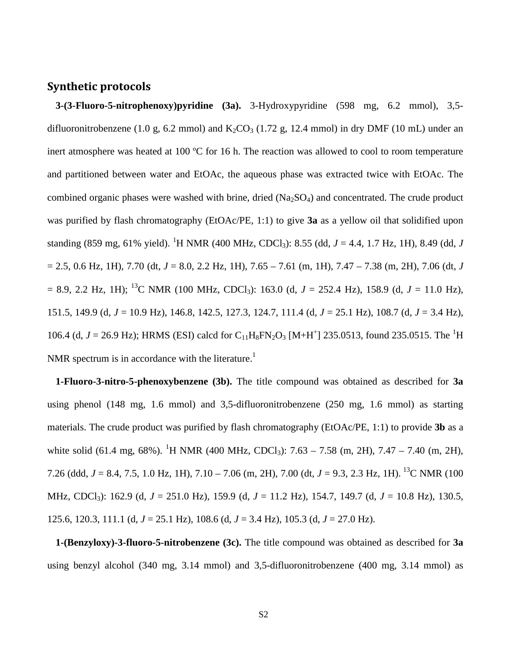#### **Synthetic protocols**

**3-(3-Fluoro-5-nitrophenoxy)pyridine (3a).** 3-Hydroxypyridine (598 mg, 6.2 mmol), 3,5 difluoronitrobenzene (1.0 g, 6.2 mmol) and  $K_2CO_3$  (1.72 g, 12.4 mmol) in dry DMF (10 mL) under an inert atmosphere was heated at 100 ºC for 16 h. The reaction was allowed to cool to room temperature and partitioned between water and EtOAc, the aqueous phase was extracted twice with EtOAc. The combined organic phases were washed with brine, dried  $(Na<sub>2</sub>SO<sub>4</sub>)$  and concentrated. The crude product was purified by flash chromatography (EtOAc/PE, 1:1) to give **3a** as a yellow oil that solidified upon standing (859 mg, 61% yield). <sup>1</sup>H NMR (400 MHz, CDCl<sub>3</sub>): 8.55 (dd, *J* = 4.4, 1.7 Hz, 1H), 8.49 (dd, *J*  $= 2.5, 0.6$  Hz, 1H), 7.70 (dt,  $J = 8.0, 2.2$  Hz, 1H), 7.65 – 7.61 (m, 1H), 7.47 – 7.38 (m, 2H), 7.06 (dt, *J*  $= 8.9, 2.2$  Hz, 1H); <sup>13</sup>C NMR (100 MHz, CDCl<sub>3</sub>): 163.0 (d, *J* = 252.4 Hz), 158.9 (d, *J* = 11.0 Hz), 151.5, 149.9 (d, *J* = 10.9 Hz), 146.8, 142.5, 127.3, 124.7, 111.4 (d, *J* = 25.1 Hz), 108.7 (d, *J* = 3.4 Hz), 106.4 (d,  $J = 26.9$  Hz); HRMS (ESI) calcd for C<sub>11</sub>H<sub>8</sub>FN<sub>2</sub>O<sub>3</sub> [M+H<sup>+</sup>] 235.0513, found 235.0515. The <sup>1</sup>H NMR spectrum is in accordance with the literature.<sup>1</sup>

**1-Fluoro-3-nitro-5-phenoxybenzene (3b).** The title compound was obtained as described for **3a** using phenol (148 mg, 1.6 mmol) and 3,5-difluoronitrobenzene (250 mg, 1.6 mmol) as starting materials. The crude product was purified by flash chromatography (EtOAc/PE, 1:1) to provide **3b** as a white solid (61.4 mg, 68%). <sup>1</sup>H NMR (400 MHz, CDCl<sub>3</sub>): 7.63 – 7.58 (m, 2H), 7.47 – 7.40 (m, 2H), 7.26 (ddd, *J* = 8.4, 7.5, 1.0 Hz, 1H), 7.10 – 7.06 (m, 2H), 7.00 (dt, *J* = 9.3, 2.3 Hz, 1H). 13C NMR (100 MHz, CDCl3): 162.9 (d, *J* = 251.0 Hz), 159.9 (d, *J* = 11.2 Hz), 154.7, 149.7 (d, *J* = 10.8 Hz), 130.5, 125.6, 120.3, 111.1 (d, *J* = 25.1 Hz), 108.6 (d, *J* = 3.4 Hz), 105.3 (d, *J* = 27.0 Hz).

**1-(Benzyloxy)-3-fluoro-5-nitrobenzene (3c).** The title compound was obtained as described for **3a** using benzyl alcohol (340 mg, 3.14 mmol) and 3,5-difluoronitrobenzene (400 mg, 3.14 mmol) as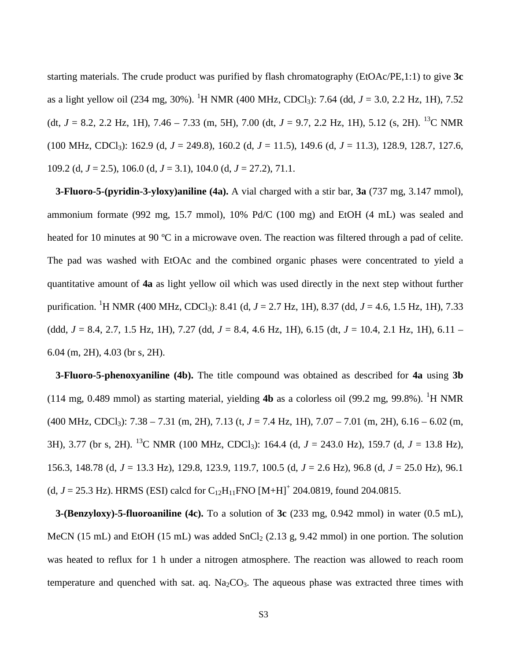starting materials. The crude product was purified by flash chromatography (EtOAc/PE,1:1) to give **3c** as a light yellow oil (234 mg, 30%). <sup>1</sup>H NMR (400 MHz, CDCl<sub>3</sub>): 7.64 (dd, *J* = 3.0, 2.2 Hz, 1H), 7.52 (dt,  $J = 8.2$ , 2.2 Hz, 1H), 7.46 – 7.33 (m, 5H), 7.00 (dt,  $J = 9.7$ , 2.2 Hz, 1H), 5.12 (s, 2H). <sup>13</sup>C NMR (100 MHz, CDCl3): 162.9 (d, *J* = 249.8), 160.2 (d, *J* = 11.5), 149.6 (d, *J* = 11.3), 128.9, 128.7, 127.6, 109.2 (d, *J* = 2.5), 106.0 (d, *J* = 3.1), 104.0 (d, *J* = 27.2), 71.1.

**3-Fluoro-5-(pyridin-3-yloxy)aniline (4a).** A vial charged with a stir bar, **3a** (737 mg, 3.147 mmol), ammonium formate (992 mg, 15.7 mmol), 10% Pd/C (100 mg) and EtOH (4 mL) was sealed and heated for 10 minutes at 90 °C in a microwave oven. The reaction was filtered through a pad of celite. The pad was washed with EtOAc and the combined organic phases were concentrated to yield a quantitative amount of **4a** as light yellow oil which was used directly in the next step without further purification. <sup>1</sup> H NMR (400 MHz, CDCl3): 8.41 (d, *J* = 2.7 Hz, 1H), 8.37 (dd, *J* = 4.6, 1.5 Hz, 1H), 7.33 (ddd, *J* = 8.4, 2.7, 1.5 Hz, 1H), 7.27 (dd, *J* = 8.4, 4.6 Hz, 1H), 6.15 (dt, *J* = 10.4, 2.1 Hz, 1H), 6.11 – 6.04 (m, 2H), 4.03 (br s, 2H).

**3-Fluoro-5-phenoxyaniline (4b).** The title compound was obtained as described for **4a** using **3b** (114 mg, 0.489 mmol) as starting material, yielding  $4b$  as a colorless oil (99.2 mg, 99.8%). <sup>1</sup>H NMR (400 MHz, CDCl3): 7.38 – 7.31 (m, 2H), 7.13 (t, *J* = 7.4 Hz, 1H), 7.07 – 7.01 (m, 2H), 6.16 – 6.02 (m, 3H), 3.77 (br s, 2H). <sup>13</sup>C NMR (100 MHz, CDCl<sub>3</sub>): 164.4 (d,  $J = 243.0$  Hz), 159.7 (d,  $J = 13.8$  Hz), 156.3, 148.78 (d, *J* = 13.3 Hz), 129.8, 123.9, 119.7, 100.5 (d, *J* = 2.6 Hz), 96.8 (d, *J* = 25.0 Hz), 96.1 (d,  $J = 25.3$  Hz). HRMS (ESI) calcd for C<sub>12</sub>H<sub>11</sub>FNO  $[M+H]^+$  204.0819, found 204.0815.

**3-(Benzyloxy)-5-fluoroaniline (4c).** To a solution of **3c** (233 mg, 0.942 mmol) in water (0.5 mL), MeCN (15 mL) and EtOH (15 mL) was added  $SnCl<sub>2</sub>$  (2.13 g, 9.42 mmol) in one portion. The solution was heated to reflux for 1 h under a nitrogen atmosphere. The reaction was allowed to reach room temperature and quenched with sat. aq.  $Na_2CO_3$ . The aqueous phase was extracted three times with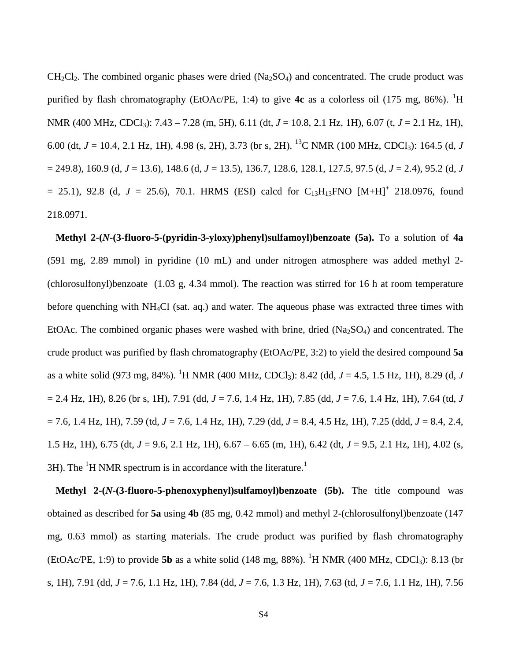$CH_2Cl_2$ . The combined organic phases were dried  $(Na_2SO_4)$  and concentrated. The crude product was purified by flash chromatography (EtOAc/PE, 1:4) to give 4c as a colorless oil (175 mg, 86%). <sup>1</sup>H NMR (400 MHz, CDCl3): 7.43 – 7.28 (m, 5H), 6.11 (dt, *J* = 10.8, 2.1 Hz, 1H), 6.07 (t, *J* = 2.1 Hz, 1H), 6.00 (dt,  $J = 10.4$ , 2.1 Hz, 1H), 4.98 (s, 2H), 3.73 (br s, 2H). <sup>13</sup>C NMR (100 MHz, CDCl<sub>3</sub>): 164.5 (d, *J* = 249.8), 160.9 (d, *J* = 13.6), 148.6 (d, *J* = 13.5), 136.7, 128.6, 128.1, 127.5, 97.5 (d, *J* = 2.4), 95.2 (d, *J*  $= 25.1$ ), 92.8 (d,  $J = 25.6$ ), 70.1. HRMS (ESI) calcd for C<sub>13</sub>H<sub>13</sub>FNO [M+H]<sup>+</sup> 218.0976, found 218.0971.

**Methyl 2-(***N***-(3-fluoro-5-(pyridin-3-yloxy)phenyl)sulfamoyl)benzoate (5a).** To a solution of **4a** (591 mg, 2.89 mmol) in pyridine (10 mL) and under nitrogen atmosphere was added methyl 2- (chlorosulfonyl)benzoate (1.03 g, 4.34 mmol). The reaction was stirred for 16 h at room temperature before quenching with NH4Cl (sat. aq.) and water. The aqueous phase was extracted three times with EtOAc. The combined organic phases were washed with brine, dried  $(Na<sub>2</sub>SO<sub>4</sub>)$  and concentrated. The crude product was purified by flash chromatography (EtOAc/PE, 3:2) to yield the desired compound **5a** as a white solid (973 mg, 84%). <sup>1</sup>H NMR (400 MHz, CDCl<sub>3</sub>): 8.42 (dd, *J* = 4.5, 1.5 Hz, 1H), 8.29 (d, *J* = 2.4 Hz, 1H), 8.26 (br s, 1H), 7.91 (dd, *J* = 7.6, 1.4 Hz, 1H), 7.85 (dd, *J* = 7.6, 1.4 Hz, 1H), 7.64 (td, *J* = 7.6, 1.4 Hz, 1H), 7.59 (td, *J* = 7.6, 1.4 Hz, 1H), 7.29 (dd, *J* = 8.4, 4.5 Hz, 1H), 7.25 (ddd, *J* = 8.4, 2.4, 1.5 Hz, 1H), 6.75 (dt, *J* = 9.6, 2.1 Hz, 1H), 6.67 – 6.65 (m, 1H), 6.42 (dt, *J* = 9.5, 2.1 Hz, 1H), 4.02 (s, 3H). The  ${}^{1}$ H NMR spectrum is in accordance with the literature.<sup>1</sup>

**Methyl 2-(***N***-(3-fluoro-5-phenoxyphenyl)sulfamoyl)benzoate (5b).** The title compound was obtained as described for **5a** using **4b** (85 mg, 0.42 mmol) and methyl 2-(chlorosulfonyl)benzoate (147 mg, 0.63 mmol) as starting materials. The crude product was purified by flash chromatography (EtOAc/PE, 1:9) to provide **5b** as a white solid (148 mg, 88%). <sup>1</sup>H NMR (400 MHz, CDCl<sub>3</sub>): 8.13 (br s, 1H), 7.91 (dd, *J* = 7.6, 1.1 Hz, 1H), 7.84 (dd, *J* = 7.6, 1.3 Hz, 1H), 7.63 (td, *J* = 7.6, 1.1 Hz, 1H), 7.56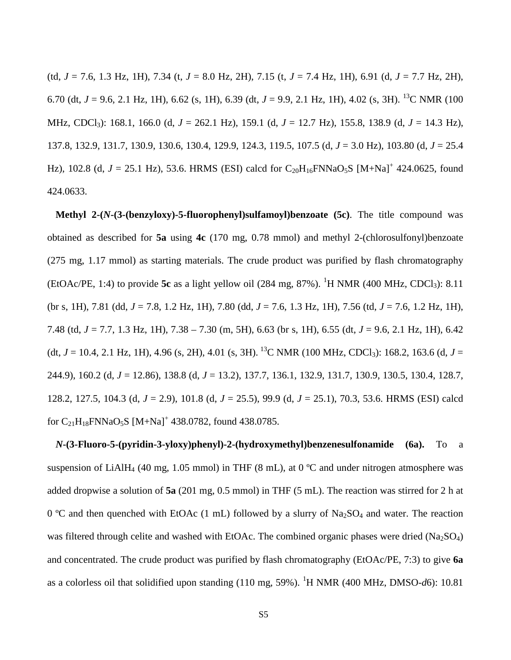(td, *J* = 7.6, 1.3 Hz, 1H), 7.34 (t, *J* = 8.0 Hz, 2H), 7.15 (t, *J* = 7.4 Hz, 1H), 6.91 (d, *J* = 7.7 Hz, 2H), 6.70 (dt, *J* = 9.6, 2.1 Hz, 1H), 6.62 (s, 1H), 6.39 (dt, *J* = 9.9, 2.1 Hz, 1H), 4.02 (s, 3H). 13C NMR (100 MHz, CDCl3): 168.1, 166.0 (d, *J* = 262.1 Hz), 159.1 (d, *J* = 12.7 Hz), 155.8, 138.9 (d, *J* = 14.3 Hz), 137.8, 132.9, 131.7, 130.9, 130.6, 130.4, 129.9, 124.3, 119.5, 107.5 (d, *J* = 3.0 Hz), 103.80 (d, *J* = 25.4 Hz), 102.8 (d,  $J = 25.1$  Hz), 53.6. HRMS (ESI) calcd for C<sub>20</sub>H<sub>16</sub>FNNaO<sub>5</sub>S [M+Na]<sup>+</sup> 424.0625, found 424.0633.

**Methyl 2-(***N***-(3-(benzyloxy)-5-fluorophenyl)sulfamoyl)benzoate (5c)**. The title compound was obtained as described for **5a** using **4c** (170 mg, 0.78 mmol) and methyl 2-(chlorosulfonyl)benzoate (275 mg, 1.17 mmol) as starting materials. The crude product was purified by flash chromatography (EtOAc/PE, 1:4) to provide 5c as a light yellow oil  $(284 \text{ mg}, 87\%)$ . <sup>1</sup>H NMR  $(400 \text{ MHz}, \text{CDCl}_3)$ : 8.11 (br s, 1H), 7.81 (dd, *J* = 7.8, 1.2 Hz, 1H), 7.80 (dd, *J* = 7.6, 1.3 Hz, 1H), 7.56 (td, *J* = 7.6, 1.2 Hz, 1H), 7.48 (td, *J* = 7.7, 1.3 Hz, 1H), 7.38 – 7.30 (m, 5H), 6.63 (br s, 1H), 6.55 (dt, *J* = 9.6, 2.1 Hz, 1H), 6.42 (dt,  $J = 10.4$ , 2.1 Hz, 1H), 4.96 (s, 2H), 4.01 (s, 3H). <sup>13</sup>C NMR (100 MHz, CDCl<sub>3</sub>): 168.2, 163.6 (d,  $J =$ 244.9), 160.2 (d, *J* = 12.86), 138.8 (d, *J* = 13.2), 137.7, 136.1, 132.9, 131.7, 130.9, 130.5, 130.4, 128.7, 128.2, 127.5, 104.3 (d, *J* = 2.9), 101.8 (d, *J* = 25.5), 99.9 (d, *J* = 25.1), 70.3, 53.6. HRMS (ESI) calcd for  $C_{21}H_{18}$ FNNaO<sub>5</sub>S [M+Na]<sup>+</sup> 438.0782, found 438.0785.

*N***-(3-Fluoro-5-(pyridin-3-yloxy)phenyl)-2-(hydroxymethyl)benzenesulfonamide (6a).** To a suspension of LiAlH<sub>4</sub> (40 mg, 1.05 mmol) in THF (8 mL), at 0  $^{\circ}$ C and under nitrogen atmosphere was added dropwise a solution of **5a** (201 mg, 0.5 mmol) in THF (5 mL). The reaction was stirred for 2 h at 0 °C and then quenched with EtOAc (1 mL) followed by a slurry of  $Na<sub>2</sub>SO<sub>4</sub>$  and water. The reaction was filtered through celite and washed with EtOAc. The combined organic phases were dried  $(Na_2SO_4)$ and concentrated. The crude product was purified by flash chromatography (EtOAc/PE, 7:3) to give **6a** as a colorless oil that solidified upon standing (110 mg, 59%). <sup>1</sup>H NMR (400 MHz, DMSO-d6): 10.81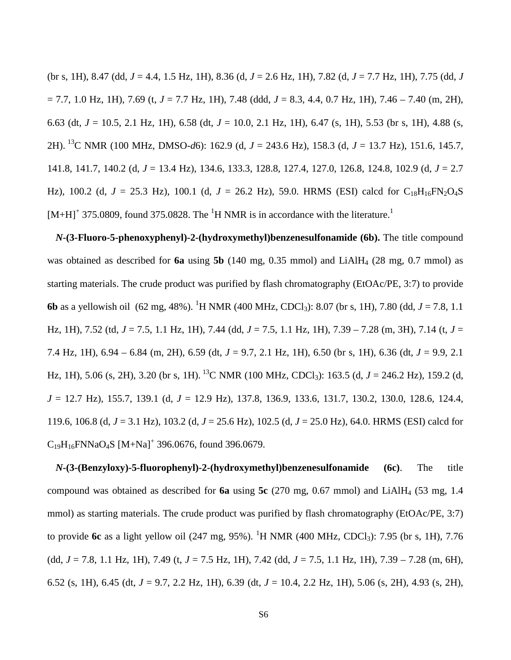(br s, 1H), 8.47 (dd, *J* = 4.4, 1.5 Hz, 1H), 8.36 (d, *J* = 2.6 Hz, 1H), 7.82 (d, *J* = 7.7 Hz, 1H), 7.75 (dd, *J* = 7.7, 1.0 Hz, 1H), 7.69 (t, *J* = 7.7 Hz, 1H), 7.48 (ddd, *J* = 8.3, 4.4, 0.7 Hz, 1H), 7.46 – 7.40 (m, 2H), 6.63 (dt, *J* = 10.5, 2.1 Hz, 1H), 6.58 (dt, *J* = 10.0, 2.1 Hz, 1H), 6.47 (s, 1H), 5.53 (br s, 1H), 4.88 (s, 2H). 13C NMR (100 MHz, DMSO-*d*6): 162.9 (d, *J* = 243.6 Hz), 158.3 (d, *J* = 13.7 Hz), 151.6, 145.7, 141.8, 141.7, 140.2 (d, *J* = 13.4 Hz), 134.6, 133.3, 128.8, 127.4, 127.0, 126.8, 124.8, 102.9 (d, *J* = 2.7 Hz), 100.2 (d,  $J = 25.3$  Hz), 100.1 (d,  $J = 26.2$  Hz), 59.0. HRMS (ESI) calcd for C<sub>18</sub>H<sub>16</sub>FN<sub>2</sub>O<sub>4</sub>S  $[M+H]^+$  375.0809, found 375.0828. The <sup>1</sup>H NMR is in accordance with the literature.<sup>1</sup>

*N***-(3-Fluoro-5-phenoxyphenyl)-2-(hydroxymethyl)benzenesulfonamide (6b).** The title compound was obtained as described for **6a** using **5b** (140 mg, 0.35 mmol) and LiAlH<sub>4</sub> (28 mg, 0.7 mmol) as starting materials. The crude product was purified by flash chromatography (EtOAc/PE, 3:7) to provide **6b** as a yellowish oil (62 mg, 48%). <sup>1</sup>H NMR (400 MHz, CDCl<sub>3</sub>): 8.07 (br s, 1H), 7.80 (dd, *J* = 7.8, 1.1 Hz, 1H), 7.52 (td, *J* = 7.5, 1.1 Hz, 1H), 7.44 (dd, *J* = 7.5, 1.1 Hz, 1H), 7.39 – 7.28 (m, 3H), 7.14 (t, *J* = 7.4 Hz, 1H), 6.94 – 6.84 (m, 2H), 6.59 (dt, *J* = 9.7, 2.1 Hz, 1H), 6.50 (br s, 1H), 6.36 (dt, *J* = 9.9, 2.1 Hz, 1H), 5.06 (s, 2H), 3.20 (br s, 1H). <sup>13</sup>C NMR (100 MHz, CDCl<sub>3</sub>): 163.5 (d,  $J = 246.2$  Hz), 159.2 (d, *J* = 12.7 Hz), 155.7, 139.1 (d, *J* = 12.9 Hz), 137.8, 136.9, 133.6, 131.7, 130.2, 130.0, 128.6, 124.4, 119.6, 106.8 (d, *J* = 3.1 Hz), 103.2 (d, *J* = 25.6 Hz), 102.5 (d, *J* = 25.0 Hz), 64.0. HRMS (ESI) calcd for  $C_{19}H_{16}$ FNNaO<sub>4</sub>S [M+Na]<sup>+</sup> 396.0676, found 396.0679.

*N***-(3-(Benzyloxy)-5-fluorophenyl)-2-(hydroxymethyl)benzenesulfonamide (6c)**. The title compound was obtained as described for **6a** using **5c** (270 mg, 0.67 mmol) and LiAlH4 (53 mg, 1.4 mmol) as starting materials. The crude product was purified by flash chromatography (EtOAc/PE, 3:7) to provide 6c as a light yellow oil (247 mg, 95%). <sup>1</sup>H NMR (400 MHz, CDCl<sub>3</sub>): 7.95 (br s, 1H), 7.76 (dd, *J* = 7.8, 1.1 Hz, 1H), 7.49 (t, *J* = 7.5 Hz, 1H), 7.42 (dd, *J* = 7.5, 1.1 Hz, 1H), 7.39 – 7.28 (m, 6H), 6.52 (s, 1H), 6.45 (dt, *J* = 9.7, 2.2 Hz, 1H), 6.39 (dt, *J* = 10.4, 2.2 Hz, 1H), 5.06 (s, 2H), 4.93 (s, 2H),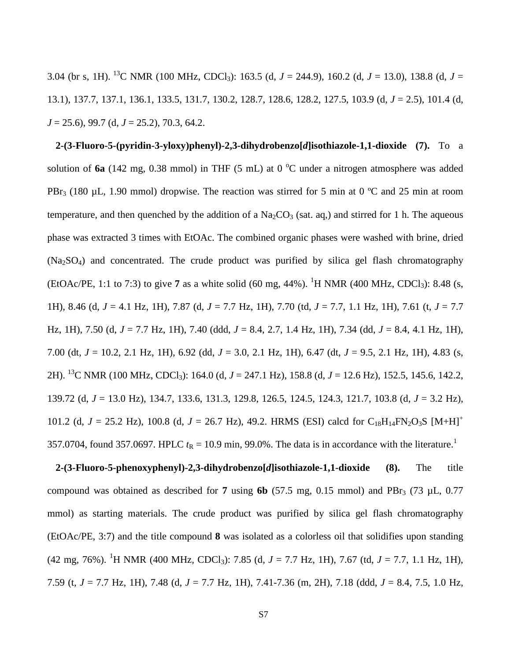3.04 (br s, 1H). <sup>13</sup>C NMR (100 MHz, CDCl<sub>3</sub>): 163.5 (d,  $J = 244.9$ ), 160.2 (d,  $J = 13.0$ ), 138.8 (d,  $J =$ 13.1), 137.7, 137.1, 136.1, 133.5, 131.7, 130.2, 128.7, 128.6, 128.2, 127.5, 103.9 (d, *J* = 2.5), 101.4 (d, *J* = 25.6), 99.7 (d, *J* = 25.2), 70.3, 64.2.

**2-(3-Fluoro-5-(pyridin-3-yloxy)phenyl)-2,3-dihydrobenzo[***d***]isothiazole-1,1-dioxide (7).** To a solution of 6a (142 mg, 0.38 mmol) in THF (5 mL) at 0 °C under a nitrogen atmosphere was added PBr<sub>3</sub> (180  $\mu$ L, 1.90 mmol) dropwise. The reaction was stirred for 5 min at 0 °C and 25 min at room temperature, and then quenched by the addition of a  $Na<sub>2</sub>CO<sub>3</sub>$  (sat. aq,) and stirred for 1 h. The aqueous phase was extracted 3 times with EtOAc. The combined organic phases were washed with brine, dried  $(Na<sub>2</sub>SO<sub>4</sub>)$  and concentrated. The crude product was purified by silica gel flash chromatography (EtOAc/PE, 1:1 to 7:3) to give 7 as a white solid (60 mg, 44%). <sup>1</sup>H NMR (400 MHz, CDCl<sub>3</sub>): 8.48 (s, 1H), 8.46 (d, *J* = 4.1 Hz, 1H), 7.87 (d, *J* = 7.7 Hz, 1H), 7.70 (td, *J* = 7.7, 1.1 Hz, 1H), 7.61 (t, *J* = 7.7 Hz, 1H), 7.50 (d, *J* = 7.7 Hz, 1H), 7.40 (ddd, *J* = 8.4, 2.7, 1.4 Hz, 1H), 7.34 (dd, *J* = 8.4, 4.1 Hz, 1H), 7.00 (dt, *J* = 10.2, 2.1 Hz, 1H), 6.92 (dd, *J* = 3.0, 2.1 Hz, 1H), 6.47 (dt, *J* = 9.5, 2.1 Hz, 1H), 4.83 (s, 2H). 13C NMR (100 MHz, CDCl3): 164.0 (d, *J* = 247.1 Hz), 158.8 (d, *J* = 12.6 Hz), 152.5, 145.6, 142.2, 139.72 (d, *J* = 13.0 Hz), 134.7, 133.6, 131.3, 129.8, 126.5, 124.5, 124.3, 121.7, 103.8 (d, *J* = 3.2 Hz), 101.2 (d,  $J = 25.2$  Hz), 100.8 (d,  $J = 26.7$  Hz), 49.2. HRMS (ESI) calcd for C<sub>18</sub>H<sub>14</sub>FN<sub>2</sub>O<sub>3</sub>S [M+H]<sup>+</sup> 357.0704, found 357.0697. HPLC  $t_R = 10.9$  min, 99.0%. The data is in accordance with the literature.<sup>1</sup>

**2-(3-Fluoro-5-phenoxyphenyl)-2,3-dihydrobenzo[***d***]isothiazole-1,1-dioxide (8).** The title compound was obtained as described for  $7 \text{ using } 6b \text{ (57.5 mg, 0.15 mmol) and } PBr<sub>3</sub> \text{ (73 }\mu\text{L, 0.77)}$ mmol) as starting materials. The crude product was purified by silica gel flash chromatography (EtOAc/PE, 3:7) and the title compound **8** was isolated as a colorless oil that solidifies upon standing (42 mg, 76%). <sup>1</sup> H NMR (400 MHz, CDCl3): 7.85 (d, *J* = 7.7 Hz, 1H), 7.67 (td, *J* = 7.7, 1.1 Hz, 1H), 7.59 (t, *J* = 7.7 Hz, 1H), 7.48 (d, *J* = 7.7 Hz, 1H), 7.41-7.36 (m, 2H), 7.18 (ddd, *J* = 8.4, 7.5, 1.0 Hz,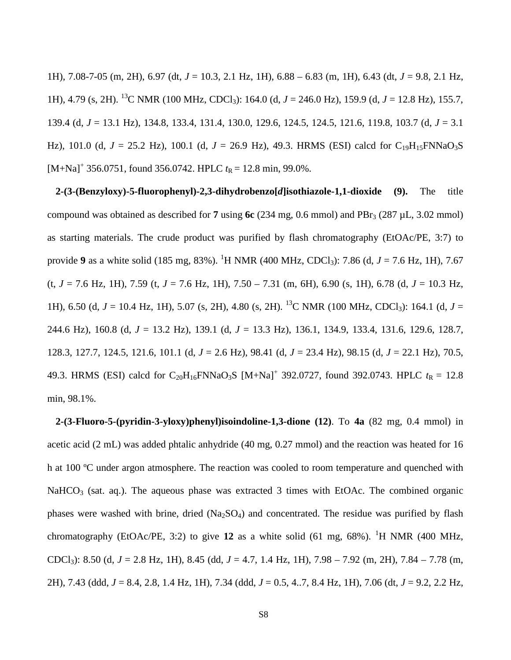1H), 7.08-7-05 (m, 2H), 6.97 (dt, *J* = 10.3, 2.1 Hz, 1H), 6.88 – 6.83 (m, 1H), 6.43 (dt, *J* = 9.8, 2.1 Hz, 1H), 4.79 (s, 2H). 13C NMR (100 MHz, CDCl3): 164.0 (d, *J* = 246.0 Hz), 159.9 (d, *J* = 12.8 Hz), 155.7, 139.4 (d, *J* = 13.1 Hz), 134.8, 133.4, 131.4, 130.0, 129.6, 124.5, 124.5, 121.6, 119.8, 103.7 (d, *J* = 3.1 Hz), 101.0 (d,  $J = 25.2$  Hz), 100.1 (d,  $J = 26.9$  Hz), 49.3. HRMS (ESI) calcd for C<sub>19</sub>H<sub>15</sub>FNNaO<sub>3</sub>S  $[M+Na]^+$  356.0751, found 356.0742. HPLC  $t_R = 12.8$  min, 99.0%.

**2-(3-(Benzyloxy)-5-fluorophenyl)-2,3-dihydrobenzo[***d***]isothiazole-1,1-dioxide (9).** The title compound was obtained as described for **7** using 6c (234 mg, 0.6 mmol) and PBr<sub>3</sub> (287 µL, 3.02 mmol) as starting materials. The crude product was purified by flash chromatography (EtOAc/PE, 3:7) to provide 9 as a white solid (185 mg, 83%). <sup>1</sup>H NMR (400 MHz, CDCl<sub>3</sub>): 7.86 (d, *J* = 7.6 Hz, 1H), 7.67 (t, *J* = 7.6 Hz, 1H), 7.59 (t, *J* = 7.6 Hz, 1H), 7.50 – 7.31 (m, 6H), 6.90 (s, 1H), 6.78 (d, *J* = 10.3 Hz, 1H), 6.50 (d, *J* = 10.4 Hz, 1H), 5.07 (s, 2H), 4.80 (s, 2H). 13C NMR (100 MHz, CDCl3): 164.1 (d, *J* = 244.6 Hz), 160.8 (d, *J* = 13.2 Hz), 139.1 (d, *J* = 13.3 Hz), 136.1, 134.9, 133.4, 131.6, 129.6, 128.7, 128.3, 127.7, 124.5, 121.6, 101.1 (d, *J* = 2.6 Hz), 98.41 (d, *J* = 23.4 Hz), 98.15 (d, *J* = 22.1 Hz), 70.5, 49.3. HRMS (ESI) calcd for  $C_{20}H_{16}FNNaO_3S$  [M+Na]<sup>+</sup> 392.0727, found 392.0743. HPLC  $t_R = 12.8$ min, 98.1%.

**2-(3-Fluoro-5-(pyridin-3-yloxy)phenyl)isoindoline-1,3-dione (12)**. To **4a** (82 mg, 0.4 mmol) in acetic acid (2 mL) was added phtalic anhydride (40 mg, 0.27 mmol) and the reaction was heated for 16 h at 100 ºC under argon atmosphere. The reaction was cooled to room temperature and quenched with  $NaHCO<sub>3</sub>$  (sat. aq.). The aqueous phase was extracted 3 times with EtOAc. The combined organic phases were washed with brine, dried  $(Na_2SO_4)$  and concentrated. The residue was purified by flash chromatography (EtOAc/PE, 3:2) to give 12 as a white solid  $(61 \text{ mg}, 68\%)$ . <sup>1</sup>H NMR  $(400 \text{ MHz},$ CDCl3): 8.50 (d, *J* = 2.8 Hz, 1H), 8.45 (dd, *J* = 4.7, 1.4 Hz, 1H), 7.98 – 7.92 (m, 2H), 7.84 – 7.78 (m, 2H), 7.43 (ddd, *J* = 8.4, 2.8, 1.4 Hz, 1H), 7.34 (ddd, *J* = 0.5, 4..7, 8.4 Hz, 1H), 7.06 (dt, *J* = 9.2, 2.2 Hz,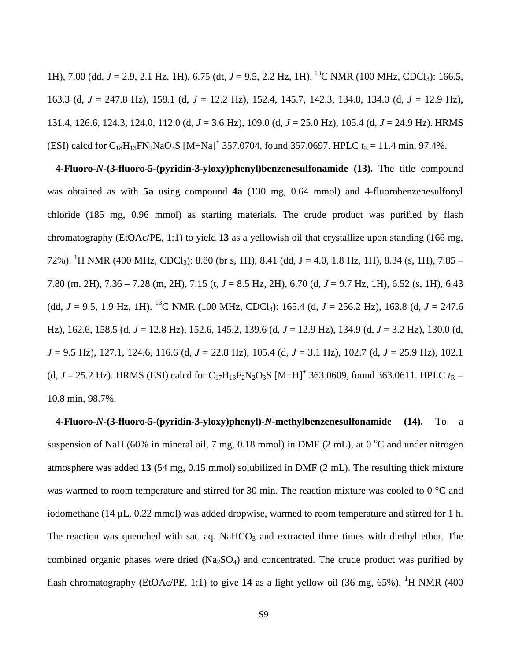1H), 7.00 (dd,  $J = 2.9$ , 2.1 Hz, 1H), 6.75 (dt,  $J = 9.5$ , 2.2 Hz, 1H). <sup>13</sup>C NMR (100 MHz, CDCl<sub>3</sub>): 166.5, 163.3 (d, *J* = 247.8 Hz), 158.1 (d, *J* = 12.2 Hz), 152.4, 145.7, 142.3, 134.8, 134.0 (d, *J* = 12.9 Hz), 131.4, 126.6, 124.3, 124.0, 112.0 (d, *J* = 3.6 Hz), 109.0 (d, *J* = 25.0 Hz), 105.4 (d, *J* = 24.9 Hz). HRMS (ESI) calcd for  $C_{18}H_{13}FN_2NaO_3S$  [M+Na]<sup>+</sup> 357.0704, found 357.0697. HPLC  $t_R = 11.4$  min, 97.4%.

**4-Fluoro-***N***-(3-fluoro-5-(pyridin-3-yloxy)phenyl)benzenesulfonamide (13).** The title compound was obtained as with **5a** using compound **4a** (130 mg, 0.64 mmol) and 4-fluorobenzenesulfonyl chloride (185 mg, 0.96 mmol) as starting materials. The crude product was purified by flash chromatography (EtOAc/PE, 1:1) to yield **13** as a yellowish oil that crystallize upon standing (166 mg, 72%). <sup>1</sup>H NMR (400 MHz, CDCl<sub>3</sub>): 8.80 (br s, 1H), 8.41 (dd, J = 4.0, 1.8 Hz, 1H), 8.34 (s, 1H), 7.85 – 7.80 (m, 2H), 7.36 – 7.28 (m, 2H), 7.15 (t, *J* = 8.5 Hz, 2H), 6.70 (d, *J* = 9.7 Hz, 1H), 6.52 (s, 1H), 6.43 (dd,  $J = 9.5$ , 1.9 Hz, 1H). <sup>13</sup>C NMR (100 MHz, CDCl<sub>3</sub>): 165.4 (d,  $J = 256.2$  Hz), 163.8 (d,  $J = 247.6$ Hz), 162.6, 158.5 (d, *J* = 12.8 Hz), 152.6, 145.2, 139.6 (d, *J* = 12.9 Hz), 134.9 (d, *J* = 3.2 Hz), 130.0 (d, *J* = 9.5 Hz), 127.1, 124.6, 116.6 (d, *J* = 22.8 Hz), 105.4 (d, *J* = 3.1 Hz), 102.7 (d, *J* = 25.9 Hz), 102.1 (d,  $J = 25.2$  Hz). HRMS (ESI) calcd for C<sub>17</sub>H<sub>13</sub>F<sub>2</sub>N<sub>2</sub>O<sub>3</sub>S [M+H]<sup>+</sup> 363.0609, found 363.0611. HPLC  $t_R =$ 10.8 min, 98.7%.

**4-Fluoro-***N***-(3-fluoro-5-(pyridin-3-yloxy)phenyl)-***N***-methylbenzenesulfonamide (14).** To a suspension of NaH (60% in mineral oil, 7 mg, 0.18 mmol) in DMF (2 mL), at 0  $^{\circ}$ C and under nitrogen atmosphere was added **13** (54 mg, 0.15 mmol) solubilized in DMF (2 mL). The resulting thick mixture was warmed to room temperature and stirred for 30 min. The reaction mixture was cooled to 0 °C and iodomethane (14 µL, 0.22 mmol) was added dropwise, warmed to room temperature and stirred for 1 h. The reaction was quenched with sat. aq. NaHCO<sub>3</sub> and extracted three times with diethyl ether. The combined organic phases were dried  $(Na_2SO_4)$  and concentrated. The crude product was purified by flash chromatography (EtOAc/PE, 1:1) to give 14 as a light yellow oil (36 mg, 65%). <sup>1</sup>H NMR (400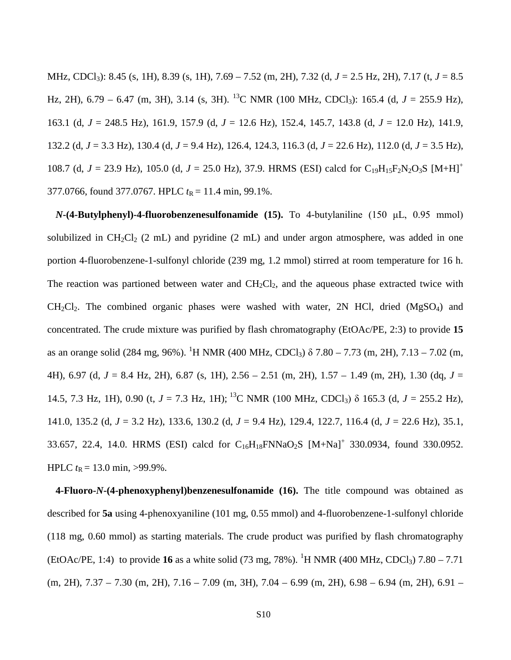MHz, CDCl3): 8.45 (s, 1H), 8.39 (s, 1H), 7.69 – 7.52 (m, 2H), 7.32 (d, *J* = 2.5 Hz, 2H), 7.17 (t, *J* = 8.5 Hz, 2H), 6.79 – 6.47 (m, 3H), 3.14 (s, 3H). <sup>13</sup>C NMR (100 MHz, CDCl<sub>3</sub>): 165.4 (d, *J* = 255.9 Hz), 163.1 (d, *J* = 248.5 Hz), 161.9, 157.9 (d, *J* = 12.6 Hz), 152.4, 145.7, 143.8 (d, *J* = 12.0 Hz), 141.9, 132.2 (d, *J* = 3.3 Hz), 130.4 (d, *J* = 9.4 Hz), 126.4, 124.3, 116.3 (d, *J* = 22.6 Hz), 112.0 (d, *J* = 3.5 Hz), 108.7 (d,  $J = 23.9$  Hz), 105.0 (d,  $J = 25.0$  Hz), 37.9. HRMS (ESI) calcd for C<sub>19</sub>H<sub>15</sub>F<sub>2</sub>N<sub>2</sub>O<sub>3</sub>S [M+H]<sup>+</sup> 377.0766, found 377.0767. HPLC  $t_R = 11.4$  min, 99.1%.

*N***-(4-Butylphenyl)-4-fluorobenzenesulfonamide (15).** To 4-butylaniline (150 μL, 0.95 mmol) solubilized in  $CH_2Cl_2$  (2 mL) and pyridine (2 mL) and under argon atmosphere, was added in one portion 4-fluorobenzene-1-sulfonyl chloride (239 mg, 1.2 mmol) stirred at room temperature for 16 h. The reaction was partioned between water and  $CH_2Cl_2$ , and the aqueous phase extracted twice with  $CH<sub>2</sub>Cl<sub>2</sub>$ . The combined organic phases were washed with water, 2N HCl, dried (MgSO<sub>4</sub>) and concentrated. The crude mixture was purified by flash chromatography (EtOAc/PE, 2:3) to provide **15** as an orange solid (284 mg, 96%). <sup>1</sup>H NMR (400 MHz, CDCl<sub>3</sub>)  $\delta$  7.80 – 7.73 (m, 2H), 7.13 – 7.02 (m, 4H), 6.97 (d, *J* = 8.4 Hz, 2H), 6.87 (s, 1H), 2.56 – 2.51 (m, 2H), 1.57 – 1.49 (m, 2H), 1.30 (dq, *J* = 14.5, 7.3 Hz, 1H), 0.90 (t,  $J = 7.3$  Hz, 1H); <sup>13</sup>C NMR (100 MHz, CDCl<sub>3</sub>)  $\delta$  165.3 (d,  $J = 255.2$  Hz), 141.0, 135.2 (d, *J* = 3.2 Hz), 133.6, 130.2 (d, *J* = 9.4 Hz), 129.4, 122.7, 116.4 (d, *J* = 22.6 Hz), 35.1, 33.657, 22.4, 14.0. HRMS (ESI) calcd for  $C_{16}H_{18}FNNaO_2S$   $[M+Na]^+$  330.0934, found 330.0952. HPLC  $t_R = 13.0$  min, >99.9%.

**4-Fluoro-***N***-(4-phenoxyphenyl)benzenesulfonamide (16).** The title compound was obtained as described for **5a** using 4-phenoxyaniline (101 mg, 0.55 mmol) and 4-fluorobenzene-1-sulfonyl chloride (118 mg, 0.60 mmol) as starting materials. The crude product was purified by flash chromatography (EtOAc/PE, 1:4) to provide **16** as a white solid (73 mg, 78%). <sup>1</sup>H NMR (400 MHz, CDCl<sub>3</sub>) 7.80 – 7.71  $(m, 2H), 7.37 - 7.30$   $(m, 2H), 7.16 - 7.09$   $(m, 3H), 7.04 - 6.99$   $(m, 2H), 6.98 - 6.94$   $(m, 2H), 6.91 -$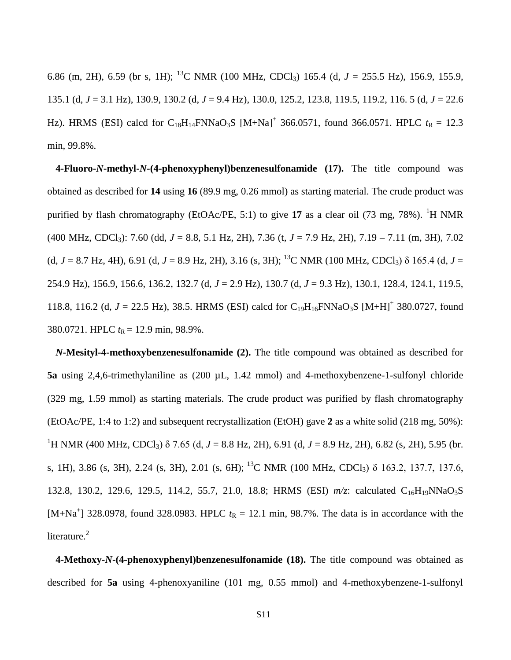6.86 (m, 2H), 6.59 (br s, 1H); <sup>13</sup>C NMR (100 MHz, CDCl<sub>3</sub>) 165.4 (d,  $J = 255.5$  Hz), 156.9, 155.9, 135.1 (d, *J* = 3.1 Hz), 130.9, 130.2 (d, *J* = 9.4 Hz), 130.0, 125.2, 123.8, 119.5, 119.2, 116. 5 (d, *J* = 22.6 Hz). HRMS (ESI) calcd for  $C_{18}H_{14}FNNaO_3S$  [M+Na]<sup>+</sup> 366.0571, found 366.0571. HPLC  $t_R = 12.3$ min, 99.8%.

**4-Fluoro-***N***-methyl-***N***-(4-phenoxyphenyl)benzenesulfonamide (17).** The title compound was obtained as described for **14** using **16** (89.9 mg, 0.26 mmol) as starting material. The crude product was purified by flash chromatography (EtOAc/PE, 5:1) to give 17 as a clear oil (73 mg, 78%). <sup>1</sup>H NMR (400 MHz, CDCl3): 7.60 (dd, *J* = 8.8, 5.1 Hz, 2H), 7.36 (t, *J* = 7.9 Hz, 2H), 7.19 – 7.11 (m, 3H), 7.02 (d,  $J = 8.7$  Hz, 4H), 6.91 (d,  $J = 8.9$  Hz, 2H), 3.16 (s, 3H); <sup>13</sup>C NMR (100 MHz, CDCl<sub>3</sub>)  $\delta$  165.4 (d,  $J =$ 254.9 Hz), 156.9, 156.6, 136.2, 132.7 (d, *J* = 2.9 Hz), 130.7 (d, *J* = 9.3 Hz), 130.1, 128.4, 124.1, 119.5, 118.8, 116.2 (d,  $J = 22.5$  Hz), 38.5. HRMS (ESI) calcd for C<sub>19</sub>H<sub>16</sub>FNNaO<sub>3</sub>S [M+H]<sup>+</sup> 380.0727, found 380.0721. HPLC  $t_R = 12.9$  min, 98.9%.

*N***-Mesityl-4-methoxybenzenesulfonamide (2).** The title compound was obtained as described for **5a** using 2,4,6-trimethylaniline as (200 µL, 1.42 mmol) and 4-methoxybenzene-1-sulfonyl chloride (329 mg, 1.59 mmol) as starting materials. The crude product was purified by flash chromatography (EtOAc/PE, 1:4 to 1:2) and subsequent recrystallization (EtOH) gave **2** as a white solid (218 mg, 50%): <sup>1</sup>H NMR (400 MHz, CDCl<sub>3</sub>) δ 7.65 (d, *J* = 8.8 Hz, 2H), 6.91 (d, *J* = 8.9 Hz, 2H), 6.82 (s, 2H), 5.95 (br. s, 1H), 3.86 (s, 3H), 2.24 (s, 3H), 2.01 (s, 6H); 13C NMR (100 MHz, CDCl3) δ 163.2, 137.7, 137.6, 132.8, 130.2, 129.6, 129.5, 114.2, 55.7, 21.0, 18.8; HRMS (ESI)  $m/z$ : calculated C<sub>16</sub>H<sub>19</sub>NNaO<sub>3</sub>S [M+Na<sup>+</sup>] 328.0978, found 328.0983. HPLC  $t_R = 12.1$  min, 98.7%. The data is in accordance with the literature.<sup>2</sup>

**4-Methoxy-***N***-(4-phenoxyphenyl)benzenesulfonamide (18).** The title compound was obtained as described for **5a** using 4-phenoxyaniline (101 mg, 0.55 mmol) and 4-methoxybenzene-1-sulfonyl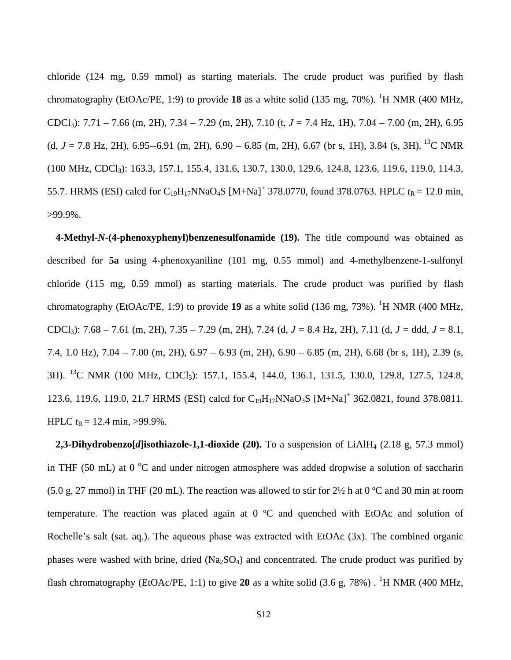chloride (124 mg, 0.59 mmol) as starting materials. The crude product was purified by flash chromatography (EtOAc/PE, 1:9) to provide 18 as a white solid (135 mg, 70%). <sup>1</sup>H NMR (400 MHz, CDCl3): 7.71 – 7.66 (m, 2H), 7.34 – 7.29 (m, 2H), 7.10 (t, *J* = 7.4 Hz, 1H), 7.04 – 7.00 (m, 2H), 6.95 (d,  $J = 7.8$  Hz, 2H), 6.95--6.91 (m, 2H), 6.90 – 6.85 (m, 2H), 6.67 (br s, 1H), 3.84 (s, 3H). <sup>13</sup>C NMR (100 MHz, CDCl3): 163.3, 157.1, 155.4, 131.6, 130.7, 130.0, 129.6, 124.8, 123.6, 119.6, 119.0, 114.3, 55.7. HRMS (ESI) calcd for C<sub>19</sub>H<sub>17</sub>NNaO<sub>4</sub>S [M+Na]<sup>+</sup> 378.0770, found 378.0763. HPLC  $t_R = 12.0$  min, >99.9%.

**4-Methyl-***N***-(4-phenoxyphenyl)benzenesulfonamide (19).** The title compound was obtained as described for **5a** using 4-phenoxyaniline (101 mg, 0.55 mmol) and 4-methylbenzene-1-sulfonyl chloride (115 mg, 0.59 mmol) as starting materials. The crude product was purified by flash chromatography (EtOAc/PE, 1:9) to provide 19 as a white solid (136 mg, 73%). <sup>1</sup>H NMR (400 MHz, CDCl3): 7.68 – 7.61 (m, 2H), 7.35 – 7.29 (m, 2H), 7.24 (d, *J* = 8.4 Hz, 2H), 7.11 (d, *J* = ddd, *J* = 8.1, 7.4, 1.0 Hz), 7.04 – 7.00 (m, 2H), 6.97 – 6.93 (m, 2H), 6.90 – 6.85 (m, 2H), 6.68 (br s, 1H), 2.39 (s, 3H). <sup>13</sup>C NMR (100 MHz, CDCl<sub>3</sub>): 157.1, 155.4, 144.0, 136.1, 131.5, 130.0, 129.8, 127.5, 124.8, 123.6, 119.6, 119.0, 21.7 HRMS (ESI) calcd for  $C_{19}H_{17}NNaO_3S$   $[M+Na]^+$  362.0821, found 378.0811. HPLC  $t_R = 12.4$  min, >99.9%.

**2,3-Dihydrobenzo[***d***]isothiazole-1,1-dioxide (20).** To a suspension of LiAlH<sub>4</sub> (2.18 g, 57.3 mmol) in THF (50 mL) at 0  $^{\circ}$ C and under nitrogen atmosphere was added dropwise a solution of saccharin (5.0 g, 27 mmol) in THF (20 mL). The reaction was allowed to stir for  $2\frac{1}{2}$  h at 0 °C and 30 min at room temperature. The reaction was placed again at 0 ºC and quenched with EtOAc and solution of Rochelle's salt (sat. aq.). The aqueous phase was extracted with EtOAc (3x). The combined organic phases were washed with brine, dried  $(Na<sub>2</sub>SO<sub>4</sub>)$  and concentrated. The crude product was purified by flash chromatography (EtOAc/PE, 1:1) to give 20 as a white solid  $(3.6 \text{ g}, 78\%)$ . <sup>1</sup>H NMR (400 MHz,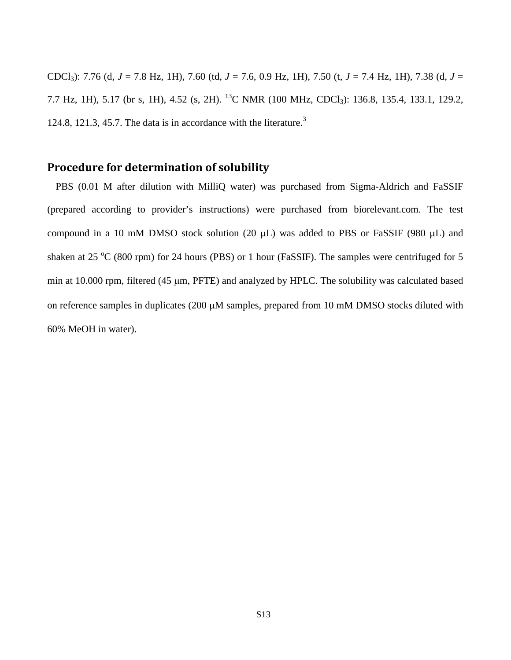CDCl3): 7.76 (d, *J* = 7.8 Hz, 1H), 7.60 (td, *J* = 7.6, 0.9 Hz, 1H), 7.50 (t, *J* = 7.4 Hz, 1H), 7.38 (d, *J* = 7.7 Hz, 1H), 5.17 (br s, 1H), 4.52 (s, 2H). <sup>13</sup>C NMR (100 MHz, CDCl<sub>3</sub>): 136.8, 135.4, 133.1, 129.2, 124.8, 121.3, 45.7. The data is in accordance with the literature.<sup>3</sup>

## **Procedure for determination of solubility**

PBS (0.01 M after dilution with MilliQ water) was purchased from Sigma-Aldrich and FaSSIF (prepared according to provider's instructions) were purchased from biorelevant.com. The test compound in a 10 mM DMSO stock solution (20  $\mu$ L) was added to PBS or FaSSIF (980  $\mu$ L) and shaken at 25  $\rm{^{\circ}C}$  (800 rpm) for 24 hours (PBS) or 1 hour (FaSSIF). The samples were centrifuged for 5 min at 10.000 rpm, filtered (45 µm, PFTE) and analyzed by HPLC. The solubility was calculated based on reference samples in duplicates (200 µM samples, prepared from 10 mM DMSO stocks diluted with 60% MeOH in water).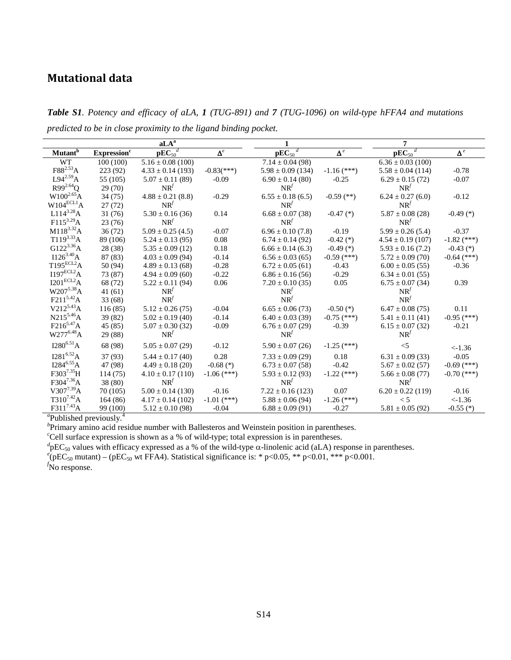# **Mutational data**

*Table S1. Potency and efficacy of aLA, 1 (TUG-891) and 7 (TUG-1096) on wild-type hFFA4 and mutations predicted to be in close proximity to the ligand binding pocket.*

|                            |                                | $a\overline{LA}^a$    |                          | 1                             |                      | 7                       |               |
|----------------------------|--------------------------------|-----------------------|--------------------------|-------------------------------|----------------------|-------------------------|---------------|
| <b>Mutant</b> <sup>b</sup> | <b>Expression</b> <sup>c</sup> | $pEC_{50}^d$          | $\pmb{\Delta}^e$         | $\mathbf{pEC}_{50}^{\dagger}$ | $\pmb{\Delta}^{\,e}$ | $pEC_{50}$ <sup>d</sup> | $\Delta^e$    |
| <b>WT</b>                  | 100(100)                       | $5.16 \pm 0.08$ (100) |                          | $7.14 \pm 0.04$ (98)          |                      | $6.36 \pm 0.03$ (100)   |               |
| $F88^{2.53}A$              | 223 (92)                       | $4.33 \pm 0.14$ (193) | $-0.83$ <sup>***</sup> ) | $5.98 \pm 0.09$ (134)         | $-1.16$ (***)        | $5.58 \pm 0.04$ (114)   | $-0.78$       |
| $L94^{2.59}A$              | 55 (105)                       | $5.07 \pm 0.11$ (89)  | $-0.09$                  | $6.90 \pm 0.14$ (80)          | $-0.25$              | $6.29 \pm 0.15(72)$     | $-0.07$       |
| $R99^{2.64}Q$              | 29 (70)                        | $NR^{f}$              |                          | $NR^{f}$                      |                      | $NR^{f}$                |               |
| $W100^{2.65}$ A            | 34(75)                         | $4.88 \pm 0.21$ (8.8) | $-0.29$                  | $6.55 \pm 0.18$ (6.5)         | $-0.59$ (**)         | $6.24 \pm 0.27$ (6.0)   | $-0.12$       |
| $W104^{ECL1}$ A            | 27(72)                         | $NR^{f}$              |                          | $NR^{f}$                      |                      | $NR^{f}$                |               |
| $L114^{3.28}A$             | 31(76)                         | $5.30 \pm 0.16$ (36)  | 0.14                     | $6.68 \pm 0.07$ (38)          | $-0.47$ (*)          | $5.87 \pm 0.08$ (28)    | $-0.49$ (*)   |
| $F115^{3.29}A$             | 23(76)                         | $NR^{f}$              |                          | $NR^{f}$                      |                      | $NR^{f}$                |               |
| $M118^{3.32}A$             | 36(72)                         | $5.09 \pm 0.25$ (4.5) | $-0.07$                  | $6.96 \pm 0.10$ (7.8)         | $-0.19$              | $5.99 \pm 0.26$ (5.4)   | $-0.37$       |
| $T119^{3.33}A$             | 89 (106)                       | $5.24 \pm 0.13$ (95)  | 0.08                     | $6.74 \pm 0.14$ (92)          | $-0.42$ (*)          | $4.54 \pm 0.19$ (107)   | $-1.82$ (***) |
| $G122^{3.36}A$             | 28 (38)                        | $5.35 \pm 0.09$ (12)  | 0.18                     | $6.66 \pm 0.14$ (6.3)         | $-0.49$ (*)          | $5.93 \pm 0.16$ (7.2)   | $-0.43$ (*)   |
| $I126^{3.40}A$             | 87 (83)                        | $4.03 \pm 0.09$ (94)  | $-0.14$                  | $6.56 \pm 0.03(65)$           | $-0.59$ (***)        | $5.72 \pm 0.09(70)$     | $-0.64$ (***) |
| $T195^{ECL2}$ A            | 50 (94)                        | $4.89 \pm 0.13$ (68)  | $-0.28$                  | $6.72 \pm 0.05$ (61)          | $-0.43$              | $6.00 \pm 0.05$ (55)    | $-0.36$       |
| $I197^{ECL2}$ A            | 73 (87)                        | $4.94 \pm 0.09(60)$   | $-0.22$                  | $6.86 \pm 0.16(56)$           | $-0.29$              | $6.34 \pm 0.01$ (55)    |               |
| I201 <sup>ECL2</sup> A     | 68 (72)                        | $5.22 \pm 0.11$ (94)  | 0.06                     | $7.20 \pm 0.10$ (35)          | 0.05                 | $6.75 \pm 0.07$ (34)    | 0.39          |
| W2075.38A                  | 41(61)                         | $NR^{f}$              |                          | $NR^{f}$                      |                      | $NR^{f}$                |               |
| $F211^{5.42}A$             | 33(68)                         | $NR^{f}$              |                          | $NR^{f}$                      |                      | $NR^{f}$                |               |
| $V212^{5.43}A$             | 116(85)                        | $5.12 \pm 0.26(75)$   | $-0.04$                  | $6.65 \pm 0.06(73)$           | $-0.50$ (*)          | $6.47 \pm 0.08$ (75)    | 0.11          |
| $N215^{5.46}A$             | 39 (82)                        | $5.02 \pm 0.19$ (40)  | $-0.14$                  | $6.40 \pm 0.03$ (39)          | $-0.75$ (***)        | $5.41 \pm 0.11$ (41)    | $-0.95$ (***) |
| $F216^{5.47}A$             | 45 (85)                        | $5.07 \pm 0.30$ (32)  | $-0.09$                  | $6.76 \pm 0.07$ (29)          | $-0.39$              | $6.15 \pm 0.07$ (32)    | $-0.21$       |
| $W277^{6.48}A$             | 29 (88)                        | $NR^{f}$              |                          | $NR^{f}$                      |                      | $NR^{f}$                |               |
| $I280^{6.51}A$             | 68 (98)                        | $5.05 \pm 0.07$ (29)  | $-0.12$                  | $5.90 \pm 0.07$ (26)          | $-1.25$ (***)        | $<$ 5                   | $< -1.36$     |
| $I281^{6.52}A$             | 37 (93)                        | $5.44 \pm 0.17(40)$   | 0.28                     | $7.33 \pm 0.09$ (29)          | 0.18                 | $6.31 \pm 0.09$ (33)    | $-0.05$       |
| $I284^{6.55}A$             | 47 (98)                        | $4.49 \pm 0.18$ (20)  | $-0.68$ (*)              | $6.73 \pm 0.07$ (58)          | $-0.42$              | $5.67 \pm 0.02$ (57)    | $-0.69$ (***) |
| F3037.35H                  | 114(75)                        | $4.10 \pm 0.17$ (110) | $-1.06$ (***)            | $5.93 \pm 0.12$ (93)          | $-1.22$ (***)        | $5.66 \pm 0.08$ (77)    | $-0.70$ (***) |
| F3047.36A                  | 38 (80)                        | $NR^{f}$              |                          | $NR^{f}$                      |                      | $NR^{f}$                |               |
| $V307^{7.39}A$             | 70(105)                        | $5.00 \pm 0.14$ (130) | $-0.16$                  | $7.22 \pm 0.16$ (123)         | 0.07                 | $6.20 \pm 0.22$ (119)   | $-0.16$       |
| $T310^{7.42}A$             | 164(86)                        | $4.17 \pm 0.14$ (102) | $-1.01$ (***)            | $5.88 \pm 0.06$ (94)          | $-1.26$ (***)        | < 5                     | $< -1.36$     |
| F311 <sup>7.43</sup> A     | 99 (100)                       | $5.12 \pm 0.10$ (98)  | $-0.04$                  | $6.88 \pm 0.09$ (91)          | $-0.27$              | $5.81 \pm 0.05$ (92)    | $-0.55$ (*)   |

<sup>a</sup>Published previously.<sup>4</sup>

*b* Primary amino acid residue number with Ballesteros and Weinstein position in parentheses.

<sup>c</sup>Cell surface expression is shown as a % of wild-type; total expression is in parentheses.

 $d_{\text{PEC},0}$  values with efficacy expressed as a % of the wild-type α-linolenic acid (aLA) response in parentheses.<br>  $e_{\text{DEC}}$  muterial (pEC, with EFAA) Statistical cignificance is: \* p <0.05, \*\* p <0.01, \*\*\* p <0.001

 $e^{\theta}$ (pEC<sub>50</sub> mutant) – (pEC<sub>50</sub> wt FFA4). Statistical significance is: \* p<0.05, \*\* p<0.01, \*\*\* p<0.001.

*f* No response.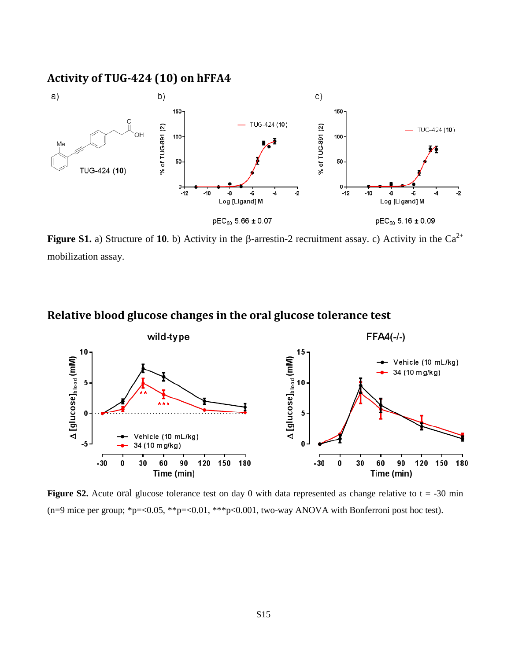## **Activity of TUG-424 (10) on hFFA4**



**Figure S1.** a) Structure of 10. b) Activity in the β-arrestin-2 recruitment assay. c) Activity in the Ca<sup>2+</sup> mobilization assay.

## **Relative blood glucose changes in the oral glucose tolerance test**



**Figure S2.** Acute oral glucose tolerance test on day 0 with data represented as change relative to  $t = -30$  min (n=9 mice per group; \*p=<0.05, \*\*p=<0.01, \*\*\*p<0.001, two-way ANOVA with Bonferroni post hoc test).